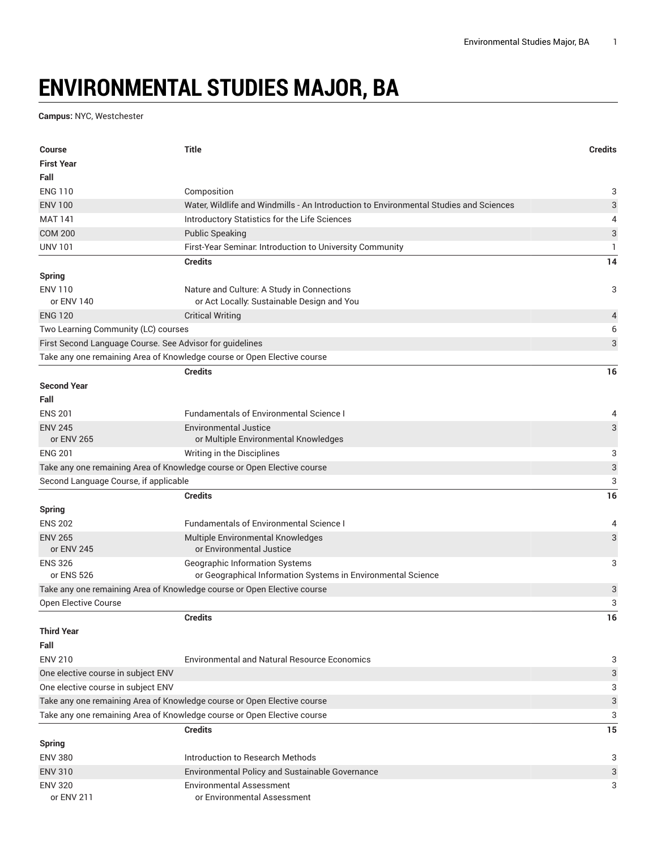## **ENVIRONMENTAL STUDIES MAJOR, BA**

**Campus:** NYC, Westchester

| <b>Course</b>                                                            | <b>Title</b>                                                                          | <b>Credits</b>            |
|--------------------------------------------------------------------------|---------------------------------------------------------------------------------------|---------------------------|
| <b>First Year</b>                                                        |                                                                                       |                           |
| Fall                                                                     |                                                                                       |                           |
| <b>ENG 110</b>                                                           | Composition                                                                           | 3                         |
| <b>ENV 100</b>                                                           | Water, Wildlife and Windmills - An Introduction to Environmental Studies and Sciences | 3                         |
| <b>MAT 141</b>                                                           | Introductory Statistics for the Life Sciences                                         | 4                         |
| <b>COM 200</b>                                                           | <b>Public Speaking</b>                                                                | 3                         |
| <b>UNV 101</b>                                                           | First-Year Seminar. Introduction to University Community                              | 1                         |
|                                                                          | <b>Credits</b>                                                                        | 14                        |
| <b>Spring</b>                                                            |                                                                                       |                           |
| <b>ENV 110</b>                                                           | Nature and Culture: A Study in Connections                                            | 3                         |
| or ENV 140                                                               | or Act Locally: Sustainable Design and You                                            |                           |
| <b>ENG 120</b>                                                           | <b>Critical Writing</b>                                                               | 4                         |
| Two Learning Community (LC) courses                                      |                                                                                       | 6                         |
| First Second Language Course. See Advisor for guidelines                 |                                                                                       | 3                         |
|                                                                          | Take any one remaining Area of Knowledge course or Open Elective course               |                           |
|                                                                          | <b>Credits</b>                                                                        | 16                        |
| <b>Second Year</b>                                                       |                                                                                       |                           |
| Fall                                                                     |                                                                                       |                           |
| <b>ENS 201</b>                                                           | <b>Fundamentals of Environmental Science I</b>                                        |                           |
|                                                                          |                                                                                       | 4                         |
| <b>ENV 245</b><br>or ENV 265                                             | <b>Environmental Justice</b><br>or Multiple Environmental Knowledges                  | 3                         |
| <b>ENG 201</b>                                                           | Writing in the Disciplines                                                            | 3                         |
|                                                                          | Take any one remaining Area of Knowledge course or Open Elective course               | $\ensuremath{\mathsf{3}}$ |
| Second Language Course, if applicable                                    |                                                                                       | 3                         |
|                                                                          | <b>Credits</b>                                                                        | 16                        |
|                                                                          |                                                                                       |                           |
| <b>Spring</b>                                                            |                                                                                       |                           |
| <b>ENS 202</b>                                                           | <b>Fundamentals of Environmental Science I</b>                                        | 4                         |
| <b>ENV 265</b><br>or ENV 245                                             | <b>Multiple Environmental Knowledges</b><br>or Environmental Justice                  | 3                         |
| <b>ENS 326</b>                                                           | Geographic Information Systems                                                        | 3                         |
| or ENS 526                                                               | or Geographical Information Systems in Environmental Science                          |                           |
|                                                                          | Take any one remaining Area of Knowledge course or Open Elective course               | 3                         |
| Open Elective Course                                                     |                                                                                       | 3                         |
|                                                                          | <b>Credits</b>                                                                        | 16                        |
| <b>Third Year</b>                                                        |                                                                                       |                           |
| Fall                                                                     |                                                                                       |                           |
| <b>ENV 210</b>                                                           | <b>Environmental and Natural Resource Economics</b>                                   |                           |
|                                                                          |                                                                                       | 3                         |
| One elective course in subject ENV<br>One elective course in subject ENV |                                                                                       | 3                         |
|                                                                          |                                                                                       | 3                         |
|                                                                          | Take any one remaining Area of Knowledge course or Open Elective course               | 3                         |
|                                                                          | Take any one remaining Area of Knowledge course or Open Elective course               | 3                         |
|                                                                          | <b>Credits</b>                                                                        | 15                        |
| <b>Spring</b>                                                            |                                                                                       |                           |
| <b>ENV 380</b>                                                           | Introduction to Research Methods                                                      | 3                         |
| <b>ENV 310</b>                                                           | Environmental Policy and Sustainable Governance                                       | 3                         |
| <b>ENV 320</b>                                                           | <b>Environmental Assessment</b>                                                       | 3                         |
| or ENV 211                                                               | or Environmental Assessment                                                           |                           |